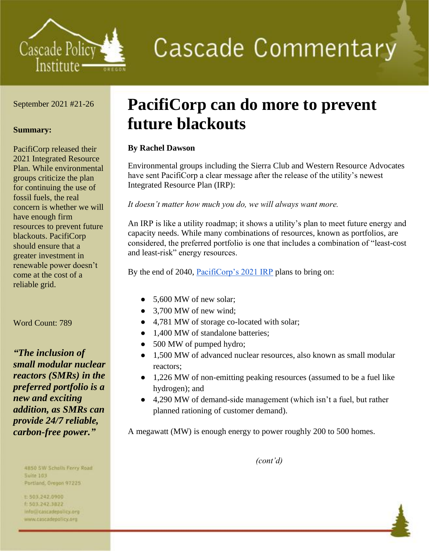

# **Cascade Commentary**

### September 2021 #21-26

### **Summary:**

PacifiCorp released their 2021 Integrated Resource Plan. While environmental groups criticize the plan for continuing the use of fossil fuels, the real concern is whether we will have enough firm resources to prevent future blackouts. PacifiCorp should ensure that a greater investment in renewable power doesn't come at the cost of a reliable grid.

Word Count: 789

*"The inclusion of small modular nuclear reactors (SMRs) in the preferred portfolio is a new and exciting addition, as SMRs can provide 24/7 reliable, carbon-free power."*

> 4B50 SW Scholls Ferry Road **Suite 103**

Portland, Oregon 97225 t:503,242.0900

1 503.242.3822 info@cascadepolicy.org www.cascadepolicy.org

## **PacifiCorp can do more to prevent future blackouts**

### **By Rachel Dawson**

Environmental groups including the Sierra Club and Western Resource Advocates have sent PacifiCorp a clear message after the release of the utility's newest Integrated Resource Plan (IRP):

*It doesn't matter how much you do, we will always want more.*

An IRP is like a utility roadmap; it shows a utility's plan to meet future energy and capacity needs. While many combinations of resources, known as portfolios, are considered, the preferred portfolio is one that includes a combination of "least-cost and least-risk" energy resources.

By the end of 2040, [PacifiCorp's 2021 IRP](https://www.pacificorp.com/content/dam/pcorp/documents/en/pacificorp/energy/integrated-resource-plan/2021-irp/Volume%20I%20-%209.15.2021%20Final.pdf) plans to bring on:

- 5,600 MW of new solar;
- 3,700 MW of new wind;
- 4,781 MW of storage co-located with solar;
- 1,400 MW of standalone batteries;
- 500 MW of pumped hydro;
- 1,500 MW of advanced nuclear resources, also known as small modular reactors;
- 1,226 MW of non-emitting peaking resources (assumed to be a fuel like hydrogen); and
- 4,290 MW of demand-side management (which isn't a fuel, but rather planned rationing of customer demand).

A megawatt (MW) is enough energy to power roughly 200 to 500 homes.

*(cont'd)*

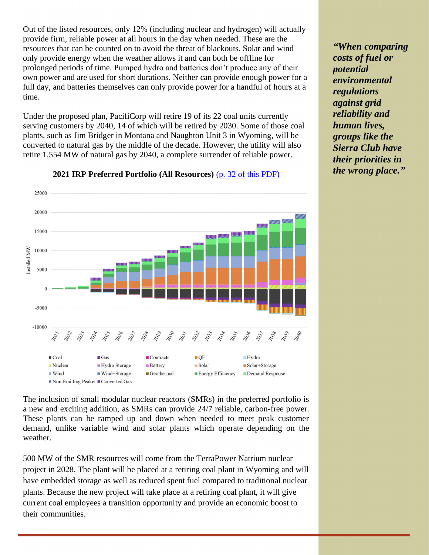Out of the listed resources, only 12% (including nuclear and hydrogen) will actually provide firm, reliable power at all hours in the day when needed. These are the resources that can be counted on to avoid the threat of blackouts. Solar and wind only provide energy when the weather allows it and can both be offline for prolonged periods of time. Pumped hydro and batteries don't produce any of their own power and are used for short durations. Neither can provide enough power for a full day, and batteries themselves can only provide power for a handful of hours at a time.

Under the proposed plan, PacifiCorp will retire 19 of its 22 coal units currently serving customers by 2040, 14 of which will be retired by 2030. Some of those coal plants, such as Jim Bridger in Montana and Naughton Unit 3 in Wyoming, will be converted to natural gas by the middle of the decade. However, the utility will also retire 1,554 MW of natural gas by 2040, a complete surrender of reliable power.



**2021 IRP Preferred Portfolio (All Resources)** [\(p. 32 of this PDF\)](https://www.pacificorp.com/content/dam/pcorp/documents/en/pacificorp/energy/integrated-resource-plan/2021-irp/Volume%20I%20-%209.15.2021%20Final.pdf)

The inclusion of small modular nuclear reactors (SMRs) in the preferred portfolio is a new and exciting addition, as SMRs can provide 24/7 reliable, carbon-free power. These plants can be ramped up and down when needed to meet peak customer demand, unlike variable wind and solar plants which operate depending on the weather.

500 MW of the SMR resources will come from the TerraPower Natrium nuclear project in 2028. The plant will be placed at a retiring coal plant in Wyoming and will have embedded storage as well as reduced spent fuel compared to traditional nuclear plants. Because the new project will take place at a retiring coal plant, it will give current coal employees a transition opportunity and provide an economic boost to their communities.

*"When comparing costs of fuel or potential environmental regulations against grid reliability and human lives, groups like the Sierra Club have their priorities in the wrong place."*